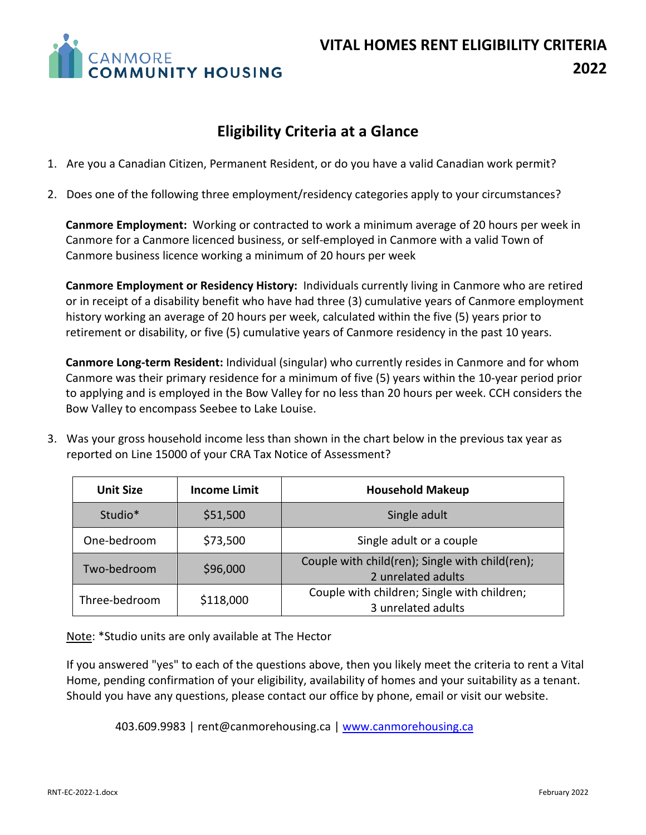

# **Eligibility Criteria at a Glance**

- 1. Are you a Canadian Citizen, Permanent Resident, or do you have a valid Canadian work permit?
- 2. Does one of the following three employment/residency categories apply to your circumstances?

**Canmore Employment:** Working or contracted to work a minimum average of 20 hours per week in Canmore for a Canmore licenced business, or self-employed in Canmore with a valid Town of Canmore business licence working a minimum of 20 hours per week

**Canmore Employment or Residency History:** Individuals currently living in Canmore who are retired or in receipt of a disability benefit who have had three (3) cumulative years of Canmore employment history working an average of 20 hours per week, calculated within the five (5) years prior to retirement or disability, or five (5) cumulative years of Canmore residency in the past 10 years.

**Canmore Long-term Resident:** Individual (singular) who currently resides in Canmore and for whom Canmore was their primary residence for a minimum of five (5) years within the 10-year period prior to applying and is employed in the Bow Valley for no less than 20 hours per week. CCH considers the Bow Valley to encompass Seebee to Lake Louise.

3. Was your gross household income less than shown in the chart below in the previous tax year as reported on Line 15000 of your CRA Tax Notice of Assessment?

| <b>Unit Size</b>    | <b>Income Limit</b> | <b>Household Makeup</b>                                               |  |  |
|---------------------|---------------------|-----------------------------------------------------------------------|--|--|
| Studio <sup>*</sup> | \$51,500            | Single adult                                                          |  |  |
| One-bedroom         | \$73,500            | Single adult or a couple                                              |  |  |
| Two-bedroom         | \$96,000            | Couple with child(ren); Single with child(ren);<br>2 unrelated adults |  |  |
| Three-bedroom       | \$118,000           | Couple with children; Single with children;<br>3 unrelated adults     |  |  |

Note: \*Studio units are only available at The Hector

If you answered "yes" to each of the questions above, then you likely meet the criteria to rent a Vital Home, pending confirmation of your eligibility, availability of homes and your suitability as a tenant. Should you have any questions, please contact our office by phone, email or visit our website.

403.609.9983 | [rent@canmorehousing.ca](mailto:rent@canmorehousing.ca) [| www.canmorehousing.ca](http://www.canmorehousing.ca/)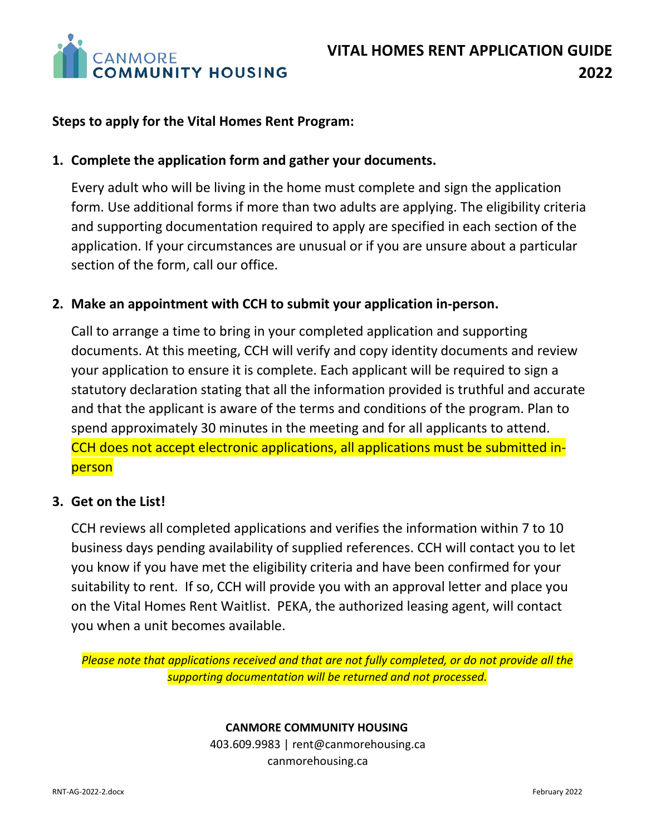

## **Steps to apply for the Vital Homes Rent Program:**

## **1. Complete the application form and gather your documents.**

Every adult who will be living in the home must complete and sign the application form. Use additional forms if more than two adults are applying. The eligibility criteria and supporting documentation required to apply are specified in each section of the application. If your circumstances are unusual or if you are unsure about a particular section of the form, call our office.

## **2. Make an appointment with CCH to submit your application in-person.**

Call to arrange a time to bring in your completed application and supporting documents. At this meeting, CCH will verify and copy identity documents and review your application to ensure it is complete. Each applicant will be required to sign a statutory declaration stating that all the information provided is truthful and accurate and that the applicant is aware of the terms and conditions of the program. Plan to spend approximately 30 minutes in the meeting and for all applicants to attend. CCH does not accept electronic applications, all applications must be submitted inperson

## **3. Get on the List!**

CCH reviews all completed applications and verifies the information within 7 to 10 business days pending availability of supplied references. CCH will contact you to let you know if you have met the eligibility criteria and have been confirmed for your suitability to rent. If so, CCH will provide you with an approval letter and place you on the Vital Homes Rent Waitlist. PEKA, the authorized leasing agent, will contact you when a unit becomes available.

*Please note that applications received and that are not fully completed, or do not provide all the supporting documentation will be returned and not processed.*

#### **CANMORE COMMUNITY HOUSING**

403.609.9983 | rent@canmorehousing.ca canmorehousing.ca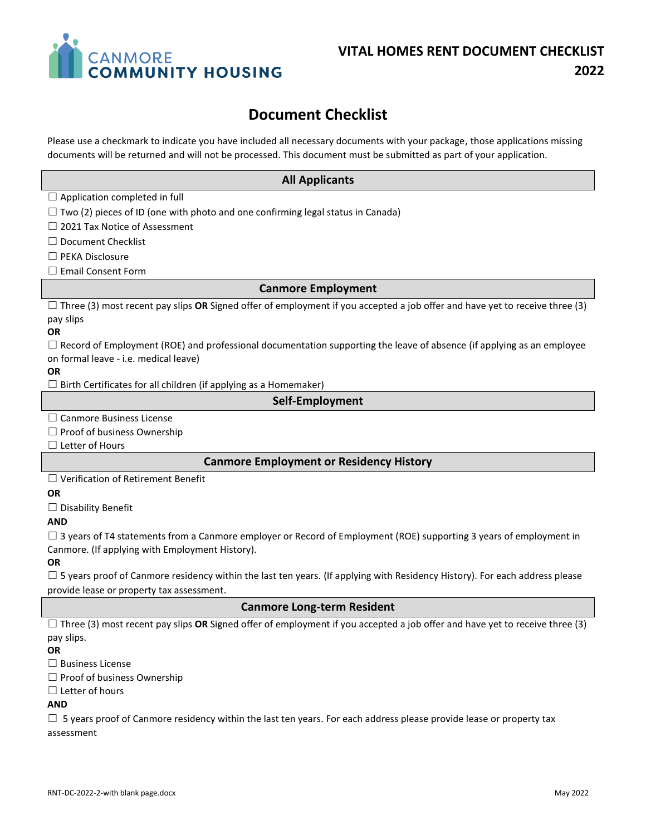

# **Document Checklist**

Please use a checkmark to indicate you have included all necessary documents with your package, those applications missing documents will be returned and will not be processed. This document must be submitted as part of your application.

#### **All Applicants**

 $\Box$  Application completed in full

 $\Box$  Two (2) pieces of ID (one with photo and one confirming legal status in Canada)

☐ 2021 Tax Notice of Assessment

☐ Document Checklist

☐ PEKA Disclosure

☐ Email Consent Form

#### **Canmore Employment**

☐ Three (3) most recent pay slips **OR** Signed offer of employment if you accepted a job offer and have yet to receive three (3) pay slips

#### **OR**

 $\Box$  Record of Employment (ROE) and professional documentation supporting the leave of absence (if applying as an employee on formal leave - i.e. medical leave)

#### **OR**

 $\Box$  Birth Certificates for all children (if applying as a Homemaker)

#### **Self-Employment**

☐ Canmore Business License

 $\Box$  Proof of business Ownership

□ Letter of Hours

#### **Canmore Employment or Residency History**

☐ Verification of Retirement Benefit

#### **OR**

☐ Disability Benefit

#### **AND**

 $\Box$  3 years of T4 statements from a Canmore employer or Record of Employment (ROE) supporting 3 years of employment in Canmore. (If applying with Employment History).

#### **OR**

 $\square$  5 years proof of Canmore residency within the last ten years. (If applying with Residency History). For each address please provide lease or property tax assessment.

#### **Canmore Long-term Resident**

☐ Three (3) most recent pay slips **OR** Signed offer of employment if you accepted a job offer and have yet to receive three (3) pay slips.

#### **OR**

☐ Business License

☐ Proof of business Ownership

□ Letter of hours

#### **AND**

 $\Box$  5 years proof of Canmore residency within the last ten years. For each address please provide lease or property tax assessment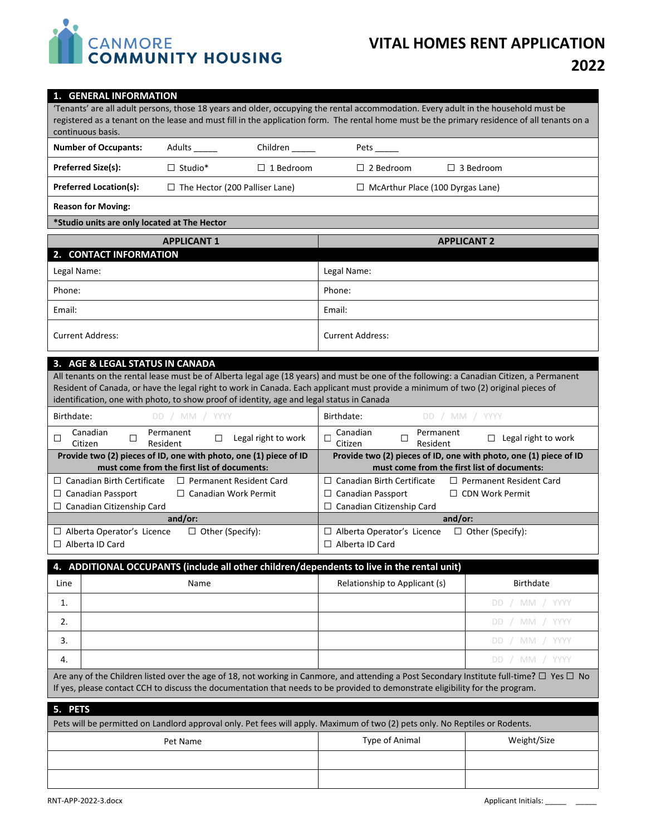

# **VITAL HOMES RENT APPLICATION 2022**

#### **1. GENERAL INFORMATION**

'Tenants' are all adult persons, those 18 years and older, occupying the rental accommodation. Every adult in the household must be registered as a tenant on the lease and must fill in the application form. The rental home must be the primary residence of all tenants on a continuous basis.

| <b>Number of Occupants:</b>   | Adults                                | Children           | Pets                                    |                    |
|-------------------------------|---------------------------------------|--------------------|-----------------------------------------|--------------------|
| <b>Preferred Size(s):</b>     | $\Box$ Studio*                        | $\Box$ 1 Bedroom . | $\Box$ 2 Bedroom                        | $\Box$ 3 Bedroom . |
| <b>Preferred Location(s):</b> | $\Box$ The Hector (200 Palliser Lane) |                    | $\Box$ McArthur Place (100 Dyrgas Lane) |                    |
| <b>Reason for Moving:</b>     |                                       |                    |                                         |                    |

#### **\*Studio units are only located at The Hector**

| <b>APPLICANT 1</b>      | <b>APPLICANT 2</b>      |
|-------------------------|-------------------------|
| 2. CONTACT INFORMATION  |                         |
| Legal Name:             | Legal Name:             |
| Phone:                  | Phone:                  |
| Email:                  | Email:                  |
| <b>Current Address:</b> | <b>Current Address:</b> |

#### **3. AGE & LEGAL STATUS IN CANADA**

All tenants on the rental lease must be of Alberta legal age (18 years) and must be one of the following: a Canadian Citizen, a Permanent Resident of Canada, or have the legal right to work in Canada. Each applicant must provide a minimum of two (2) original pieces of identification, one with photo, to show proof of identity, age and legal status in Canada

| DD / MM / YYYY<br>Birthdate:                                        | Birthdate:<br>DD / MM / YYYY                                        |
|---------------------------------------------------------------------|---------------------------------------------------------------------|
| Canadian<br>Permanent<br>Legal right to work<br>Resident<br>Citizen | Canadian<br>Permanent<br>Legal right to work<br>Resident<br>Citizen |
| Provide two (2) pieces of ID, one with photo, one (1) piece of ID   | Provide two (2) pieces of ID, one with photo, one (1) piece of ID   |
| must come from the first list of documents:                         | must come from the first list of documents:                         |
| $\Box$ Canadian Birth Certificate<br>$\Box$ Permanent Resident Card | $\Box$ Canadian Birth Certificate<br>$\Box$ Permanent Resident Card |
| $\Box$ Canadian Work Permit<br>Canadian Passport<br>$\Box$          | $\Box$ CDN Work Permit<br>$\Box$ Canadian Passport                  |
| $\Box$ Canadian Citizenship Card                                    | $\Box$ Canadian Citizenship Card                                    |
| and/or:                                                             | and/or:                                                             |
| Alberta Operator's Licence<br>$\Box$ Other (Specify):               | $\Box$ Other (Specify):<br>$\Box$ Alberta Operator's Licence        |
| Alberta ID Card                                                     | $\Box$ Alberta ID Card                                              |

|      | 4. ADDITIONAL OCCUPANTS (include all other children/dependents to live in the rental unit) |                               |                |  |  |  |
|------|--------------------------------------------------------------------------------------------|-------------------------------|----------------|--|--|--|
| Line | Name                                                                                       | Relationship to Applicant (s) | Birthdate      |  |  |  |
|      |                                                                                            |                               | DD / MM / YYYY |  |  |  |
| 2.   |                                                                                            |                               | DD / MM / YYYY |  |  |  |
| 3.   |                                                                                            |                               | DD / MM / YYYY |  |  |  |
| 4.   |                                                                                            |                               | DD / MM / YYYY |  |  |  |
|      |                                                                                            |                               |                |  |  |  |

Are any of the Children listed over the age of 18, not working in Canmore, and attending a Post Secondary Institute full-time**?** ☐ Yes ☐ No If yes, please contact CCH to discuss the documentation that needs to be provided to demonstrate eligibility for the program.

| 5. PETS  |                                                                                                                              |             |  |  |
|----------|------------------------------------------------------------------------------------------------------------------------------|-------------|--|--|
|          | Pets will be permitted on Landlord approval only. Pet fees will apply. Maximum of two (2) pets only. No Reptiles or Rodents. |             |  |  |
| Pet Name | Type of Animal                                                                                                               | Weight/Size |  |  |
|          |                                                                                                                              |             |  |  |
|          |                                                                                                                              |             |  |  |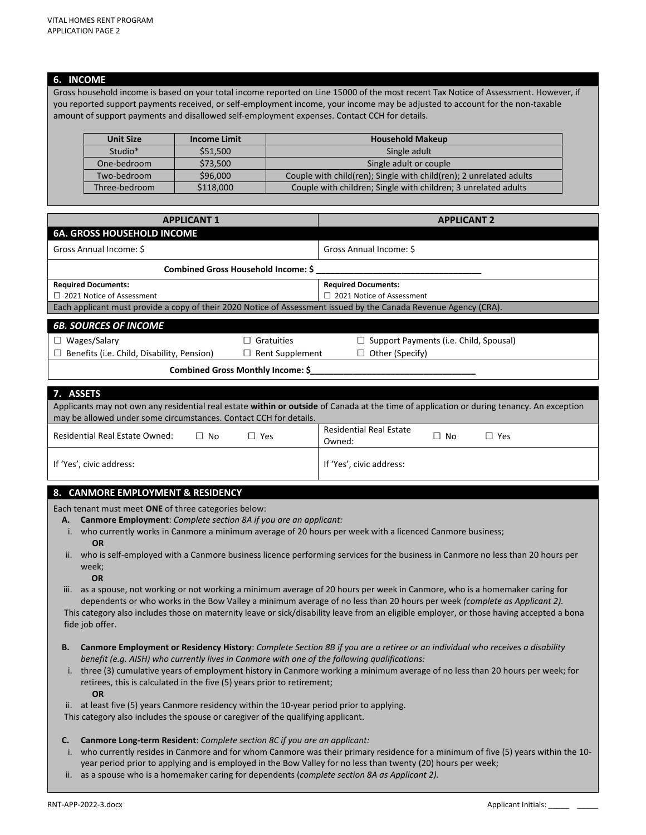#### **6. INCOME**

Gross household income is based on your total income reported on Line 15000 of the most recent Tax Notice of Assessment. However, if you reported support payments received, or self-employment income, your income may be adjusted to account for the non-taxable amount of support payments and disallowed self-employment expenses. Contact CCH for details.

| <b>Unit Size</b> | <b>Income Limit</b> | <b>Household Makeup</b>                                            |  |
|------------------|---------------------|--------------------------------------------------------------------|--|
| Studio*          | \$51,500            | Single adult                                                       |  |
| One-bedroom      | \$73,500            | Single adult or couple                                             |  |
| Two-bedroom      | \$96,000            | Couple with child(ren); Single with child(ren); 2 unrelated adults |  |
| Three-bedroom    | \$118,000           | Couple with children; Single with children; 3 unrelated adults     |  |

| <b>APPLICANT 1</b>                                                                                               | <b>APPLICANT 2</b>               |  |  |  |
|------------------------------------------------------------------------------------------------------------------|----------------------------------|--|--|--|
| <b>6A. GROSS HOUSEHOLD INCOME</b>                                                                                |                                  |  |  |  |
| Gross Annual Income: \$                                                                                          | Gross Annual Income: \$          |  |  |  |
| Combined Gross Household Income: \$                                                                              |                                  |  |  |  |
| <b>Required Documents:</b>                                                                                       | <b>Required Documents:</b>       |  |  |  |
| $\Box$ 2021 Notice of Assessment                                                                                 | $\Box$ 2021 Notice of Assessment |  |  |  |
| Each applicant must provide a copy of their 2020 Notice of Assessment issued by the Canada Revenue Agency (CRA). |                                  |  |  |  |
| <b>6B. SOURCES OF INCOME</b>                                                                                     |                                  |  |  |  |

|                                                   | Combined Gross Monthly Income: \$ |                                               |
|---------------------------------------------------|-----------------------------------|-----------------------------------------------|
| $\Box$ Benefits (i.e. Child, Disability, Pension) | $\Box$ Rent Supplement            | $\Box$ Other (Specify)                        |
| $\Box$ Wages/Salary                               | $\Box$ Gratuities                 | $\Box$ Support Payments (i.e. Child, Spousal) |

| 7. ASSETS                                                                                                                                 |           |            |                                |           |            |
|-------------------------------------------------------------------------------------------------------------------------------------------|-----------|------------|--------------------------------|-----------|------------|
| Applicants may not own any residential real estate within or outside of Canada at the time of application or during tenancy. An exception |           |            |                                |           |            |
| may be allowed under some circumstances. Contact CCH for details.                                                                         |           |            |                                |           |            |
| Residential Real Estate Owned:                                                                                                            | $\Box$ No | $\Box$ Yes | <b>Residential Real Estate</b> | $\Box$ No | $\Box$ Yes |
|                                                                                                                                           |           |            | Owned:                         |           |            |
| If 'Yes', civic address:                                                                                                                  |           |            | If 'Yes', civic address:       |           |            |

#### **8. CANMORE EMPLOYMENT & RESIDENCY**

Each tenant must meet **ONE** of three categories below:

- **A. Canmore Employment**: *Complete section 8A if you are an applicant:*
- i. who currently works in Canmore a minimum average of 20 hours per week with a licenced Canmore business;  **OR**
- ii. who is self-employed with a Canmore business licence performing services for the business in Canmore no less than 20 hours per week;
	- **OR**

iii. as a spouse, not working or not working a minimum average of 20 hours per week in Canmore, who is a homemaker caring for dependents or who works in the Bow Valley a minimum average of no less than 20 hours per week *(complete as Applicant 2).* This category also includes those on maternity leave or sick/disability leave from an eligible employer, or those having accepted a bona fide job offer.

- **B. Canmore Employment or Residency History**: *Complete Section 8B if you are a retiree or an individual who receives a disability benefit (e.g. AISH) who currently lives in Canmore with one of the following qualifications:*
- i. three (3) cumulative years of employment history in Canmore working a minimum average of no less than 20 hours per week; for retirees, this is calculated in the five (5) years prior to retirement;  **OR**
- ii. at least five (5) years Canmore residency within the 10-year period prior to applying.

This category also includes the spouse or caregiver of the qualifying applicant.

- **C. Canmore Long-term Resident**: *Complete section 8C if you are an applicant:*
- i. who currently resides in Canmore and for whom Canmore was their primary residence for a minimum of five (5) years within the 10 year period prior to applying and is employed in the Bow Valley for no less than twenty (20) hours per week;
- ii. as a spouse who is a homemaker caring for dependents (*complete section 8A as Applicant 2).*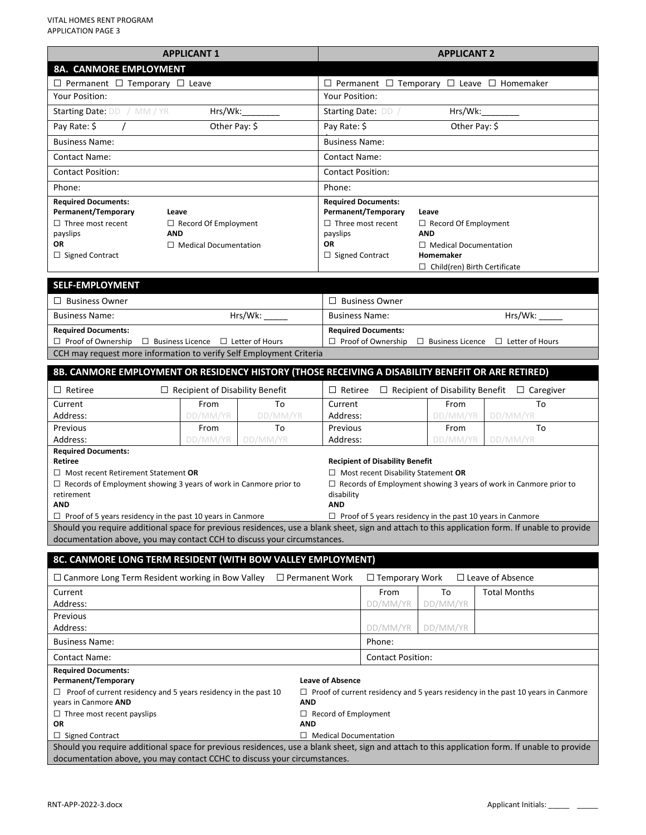| <b>APPLICANT 1</b>                                                                                                                                                                                                                                                                                                                                                                                          |                                                                                                                                                                                | <b>APPLICANT 2</b>                                              |                                |                                                                                      |                                                                   |                                                                          |
|-------------------------------------------------------------------------------------------------------------------------------------------------------------------------------------------------------------------------------------------------------------------------------------------------------------------------------------------------------------------------------------------------------------|--------------------------------------------------------------------------------------------------------------------------------------------------------------------------------|-----------------------------------------------------------------|--------------------------------|--------------------------------------------------------------------------------------|-------------------------------------------------------------------|--------------------------------------------------------------------------|
| 8A. CANMORE EMPLOYMENT                                                                                                                                                                                                                                                                                                                                                                                      |                                                                                                                                                                                |                                                                 |                                |                                                                                      |                                                                   |                                                                          |
| $\Box$ Permanent $\Box$ Temporary $\Box$ Leave                                                                                                                                                                                                                                                                                                                                                              |                                                                                                                                                                                | $\Box$ Permanent $\Box$ Temporary $\Box$ Leave $\Box$ Homemaker |                                |                                                                                      |                                                                   |                                                                          |
| Your Position:                                                                                                                                                                                                                                                                                                                                                                                              |                                                                                                                                                                                |                                                                 | Your Position:                 |                                                                                      |                                                                   |                                                                          |
| Starting Date: DD / MM / YR<br>Hrs/Wk:                                                                                                                                                                                                                                                                                                                                                                      |                                                                                                                                                                                |                                                                 | Hrs/Wk:<br>Starting Date: DD / |                                                                                      |                                                                   |                                                                          |
| Pay Rate: \$<br>$\prime$                                                                                                                                                                                                                                                                                                                                                                                    | Other Pay: \$                                                                                                                                                                  |                                                                 | Pay Rate: \$<br>Other Pay: \$  |                                                                                      |                                                                   |                                                                          |
| <b>Business Name:</b>                                                                                                                                                                                                                                                                                                                                                                                       |                                                                                                                                                                                |                                                                 | <b>Business Name:</b>          |                                                                                      |                                                                   |                                                                          |
| Contact Name:                                                                                                                                                                                                                                                                                                                                                                                               |                                                                                                                                                                                |                                                                 | Contact Name:                  |                                                                                      |                                                                   |                                                                          |
| <b>Contact Position:</b>                                                                                                                                                                                                                                                                                                                                                                                    |                                                                                                                                                                                |                                                                 | <b>Contact Position:</b>       |                                                                                      |                                                                   |                                                                          |
| Phone:                                                                                                                                                                                                                                                                                                                                                                                                      |                                                                                                                                                                                |                                                                 | Phone:                         |                                                                                      |                                                                   |                                                                          |
| <b>Required Documents:</b>                                                                                                                                                                                                                                                                                                                                                                                  |                                                                                                                                                                                |                                                                 | <b>Required Documents:</b>     |                                                                                      |                                                                   |                                                                          |
| Permanent/Temporary                                                                                                                                                                                                                                                                                                                                                                                         | Leave                                                                                                                                                                          |                                                                 | Permanent/Temporary<br>Leave   |                                                                                      |                                                                   |                                                                          |
| $\Box$ Three most recent<br>payslips                                                                                                                                                                                                                                                                                                                                                                        | $\Box$ Record Of Employment<br><b>AND</b>                                                                                                                                      |                                                                 | payslips                       | $\Box$ Three most recent                                                             | $\Box$ Record Of Employment<br><b>AND</b>                         |                                                                          |
| OR                                                                                                                                                                                                                                                                                                                                                                                                          | $\Box$ Medical Documentation                                                                                                                                                   |                                                                 | OR                             |                                                                                      | $\Box$ Medical Documentation                                      |                                                                          |
| $\Box$ Signed Contract                                                                                                                                                                                                                                                                                                                                                                                      |                                                                                                                                                                                |                                                                 | $\Box$ Signed Contract         |                                                                                      | Homemaker                                                         |                                                                          |
|                                                                                                                                                                                                                                                                                                                                                                                                             |                                                                                                                                                                                |                                                                 |                                |                                                                                      | $\Box$ Child(ren) Birth Certificate                               |                                                                          |
| <b>SELF-EMPLOYMENT</b>                                                                                                                                                                                                                                                                                                                                                                                      |                                                                                                                                                                                |                                                                 |                                |                                                                                      |                                                                   |                                                                          |
| $\Box$ Business Owner                                                                                                                                                                                                                                                                                                                                                                                       |                                                                                                                                                                                |                                                                 |                                | $\Box$ Business Owner                                                                |                                                                   |                                                                          |
| <b>Business Name:</b>                                                                                                                                                                                                                                                                                                                                                                                       |                                                                                                                                                                                | Hrs/Wk:                                                         | <b>Business Name:</b>          |                                                                                      |                                                                   | Hrs/Wk:                                                                  |
| <b>Required Documents:</b>                                                                                                                                                                                                                                                                                                                                                                                  |                                                                                                                                                                                |                                                                 |                                | <b>Required Documents:</b>                                                           |                                                                   |                                                                          |
| $\Box$ Proof of Ownership $\Box$ Business Licence $\Box$ Letter of Hours                                                                                                                                                                                                                                                                                                                                    |                                                                                                                                                                                |                                                                 |                                | □ Proof of Ownership                                                                 |                                                                   | $\Box$ Business Licence $\Box$ Letter of Hours                           |
| CCH may request more information to verify Self Employment Criteria                                                                                                                                                                                                                                                                                                                                         |                                                                                                                                                                                |                                                                 |                                |                                                                                      |                                                                   |                                                                          |
| 8B. CANMORE EMPLOYMENT OR RESIDENCY HISTORY (THOSE RECEIVING A DISABILITY BENEFIT OR ARE RETIRED)                                                                                                                                                                                                                                                                                                           |                                                                                                                                                                                |                                                                 |                                |                                                                                      |                                                                   |                                                                          |
| $\Box$ Retiree                                                                                                                                                                                                                                                                                                                                                                                              | $\Box$ Recipient of Disability Benefit                                                                                                                                         |                                                                 | $\Box$ Retiree                 |                                                                                      | $\Box$ Recipient of Disability Benefit                            | $\Box$ Caregiver                                                         |
| Current                                                                                                                                                                                                                                                                                                                                                                                                     | From                                                                                                                                                                           | To                                                              | Current                        |                                                                                      | From                                                              | To                                                                       |
| Address:                                                                                                                                                                                                                                                                                                                                                                                                    | DD/MM/YR                                                                                                                                                                       | DD/MM/YR                                                        | Address:                       |                                                                                      | DD/MM/YR                                                          | DD/MM/YR                                                                 |
| Previous<br>Address:                                                                                                                                                                                                                                                                                                                                                                                        | From<br>DD/MM/YR                                                                                                                                                               | To<br>DD/MM/YR                                                  | Previous<br>Address:           |                                                                                      | From<br>DD/MM/YR                                                  | To<br>DD/MM/YR                                                           |
| <b>Required Documents:</b><br>Retiree<br>$\Box$ Most recent Retirement Statement OR<br>$\Box$ Records of Employment showing 3 years of work in Canmore prior to<br>retirement<br>AND<br>$\Box$ Proof of 5 years residency in the past 10 years in Canmore<br>Should you require additional space for previous residences, use a blank sheet, sign and attach to this application form. If unable to provide |                                                                                                                                                                                |                                                                 | disability<br>AND              | <b>Recipient of Disability Benefit</b><br>$\Box$ Most recent Disability Statement OR | $\Box$ Proof of 5 years residency in the past 10 years in Canmore | $\Box$ Records of Employment showing 3 years of work in Canmore prior to |
| documentation above, you may contact CCH to discuss your circumstances.                                                                                                                                                                                                                                                                                                                                     |                                                                                                                                                                                |                                                                 |                                |                                                                                      |                                                                   |                                                                          |
| 8C. CANMORE LONG TERM RESIDENT (WITH BOW VALLEY EMPLOYMENT)                                                                                                                                                                                                                                                                                                                                                 |                                                                                                                                                                                |                                                                 |                                |                                                                                      |                                                                   |                                                                          |
| $\Box$ Canmore Long Term Resident working in Bow Valley $\Box$ Permanent Work                                                                                                                                                                                                                                                                                                                               |                                                                                                                                                                                |                                                                 |                                | $\Box$ Temporary Work                                                                |                                                                   | $\Box$ Leave of Absence                                                  |
| Current                                                                                                                                                                                                                                                                                                                                                                                                     |                                                                                                                                                                                |                                                                 |                                | From                                                                                 | To                                                                | <b>Total Months</b>                                                      |
| Address:                                                                                                                                                                                                                                                                                                                                                                                                    |                                                                                                                                                                                |                                                                 |                                | DD/MM/YR                                                                             | DD/MM/YR                                                          |                                                                          |
| Previous<br>Address:                                                                                                                                                                                                                                                                                                                                                                                        |                                                                                                                                                                                |                                                                 |                                | DD/MM/YR                                                                             | DD/MM/YR                                                          |                                                                          |
| <b>Business Name:</b>                                                                                                                                                                                                                                                                                                                                                                                       |                                                                                                                                                                                |                                                                 |                                | Phone:                                                                               |                                                                   |                                                                          |
| Contact Name:                                                                                                                                                                                                                                                                                                                                                                                               |                                                                                                                                                                                |                                                                 | <b>Contact Position:</b>       |                                                                                      |                                                                   |                                                                          |
| <b>Required Documents:</b>                                                                                                                                                                                                                                                                                                                                                                                  |                                                                                                                                                                                |                                                                 |                                |                                                                                      |                                                                   |                                                                          |
| Permanent/Temporary<br><b>Leave of Absence</b><br>$\Box$ Proof of current residency and 5 years residency in the past 10<br>$\Box$ Proof of current residency and 5 years residency in the past 10 years in Canmore<br>years in Canmore AND<br><b>AND</b><br>$\Box$ Record of Employment<br>$\Box$ Three most recent payslips<br>OR<br><b>AND</b>                                                           |                                                                                                                                                                                |                                                                 |                                |                                                                                      |                                                                   |                                                                          |
| $\Box$ Signed Contract                                                                                                                                                                                                                                                                                                                                                                                      | $\Box$ Medical Documentation<br>Should you require additional space for previous residences, use a blank sheet, sign and attach to this application form. If unable to provide |                                                                 |                                |                                                                                      |                                                                   |                                                                          |
| documentation above, you may contact CCHC to discuss your circumstances.                                                                                                                                                                                                                                                                                                                                    |                                                                                                                                                                                |                                                                 |                                |                                                                                      |                                                                   |                                                                          |
|                                                                                                                                                                                                                                                                                                                                                                                                             |                                                                                                                                                                                |                                                                 |                                |                                                                                      |                                                                   |                                                                          |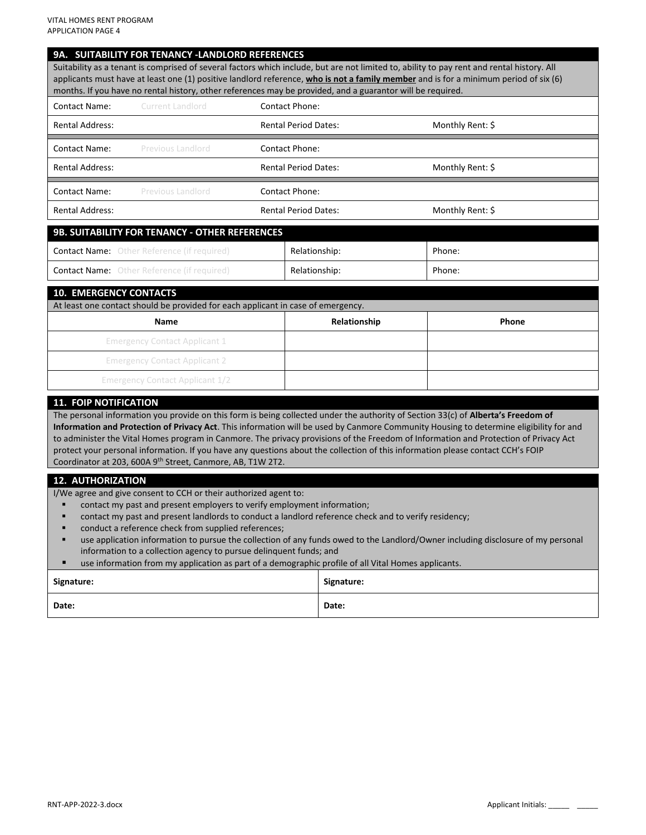#### **9A. SUITABILITY FOR TENANCY -LANDLORD REFERENCES**

Suitability as a tenant is comprised of several factors which include, but are not limited to, ability to pay rent and rental history. All applicants must have at least one (1) positive landlord reference, **who is not a family member** and is for a minimum period of six (6) months. If you have no rental history, other references may be provided, and a guarantor will be required.

| Contact Name:          | Current Landlord         | Contact Phone:              |                  |
|------------------------|--------------------------|-----------------------------|------------------|
| <b>Rental Address:</b> |                          | <b>Rental Period Dates:</b> | Monthly Rent: \$ |
| Contact Name:          | <b>Previous Landlord</b> | <b>Contact Phone:</b>       |                  |
| <b>Rental Address:</b> |                          | <b>Rental Period Dates:</b> | Monthly Rent: \$ |
| <b>Contact Name:</b>   | <b>Previous Landlord</b> | <b>Contact Phone:</b>       |                  |
| <b>Rental Address:</b> |                          | <b>Rental Period Dates:</b> | Monthly Rent: \$ |

| <b>9B. SUITABILITY FOR TENANCY - OTHER REFERENCES</b> |               |        |
|-------------------------------------------------------|---------------|--------|
| <b>Contact Name:</b> Other Reference (if required)    | Relationship: | Phone: |
| <b>Contact Name:</b> Other Reference (if required)    | Relationship: | Phone: |

#### **10. EMERGENCY CONTACTS**

| At least one contact should be provided for each applicant in case of emergency. |              |              |
|----------------------------------------------------------------------------------|--------------|--------------|
| <b>Name</b>                                                                      | Relationship | <b>Phone</b> |
| <b>Emergency Contact Applicant 1</b>                                             |              |              |
| <b>Emergency Contact Applicant 2</b>                                             |              |              |
| <b>Emergency Contact Applicant 1/2</b>                                           |              |              |

#### **11. FOIP NOTIFICATION**

The personal information you provide on this form is being collected under the authority of Section 33(c) of **Alberta's Freedom of Information and Protection of Privacy Act**. This information will be used by Canmore Community Housing to determine eligibility for and to administer the Vital Homes program in Canmore. The privacy provisions of the Freedom of Information and Protection of Privacy Act protect your personal information. If you have any questions about the collection of this information please contact CCH's FOIP Coordinator at 203, 600A 9th Street, Canmore, AB, T1W 2T2.

#### **12. AUTHORIZATION**

I/We agree and give consent to CCH or their authorized agent to:

- contact my past and present employers to verify employment information;
- contact my past and present landlords to conduct a landlord reference check and to verify residency;
- conduct a reference check from supplied references;
- use application information to pursue the collection of any funds owed to the Landlord/Owner including disclosure of my personal information to a collection agency to pursue delinquent funds; and
- use information from my application as part of a demographic profile of all Vital Homes applicants.

| Signature: | Signature: |
|------------|------------|
| Date:      | Date:      |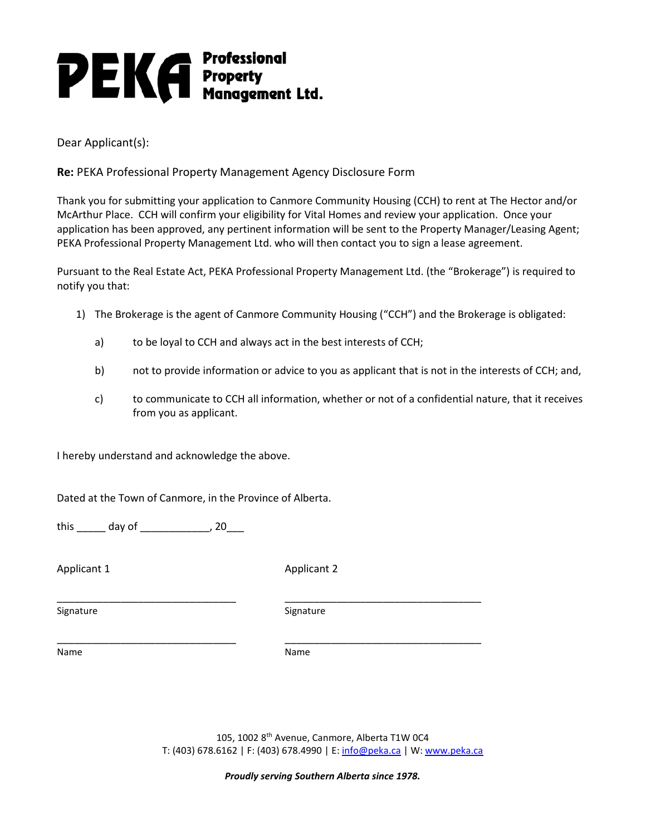# **PEKA** Professional<br>PEKA Property<br>Management Ltd.

Dear Applicant(s):

**Re:** PEKA Professional Property Management Agency Disclosure Form

Thank you for submitting your application to Canmore Community Housing (CCH) to rent at The Hector and/or McArthur Place. CCH will confirm your eligibility for Vital Homes and review your application. Once your application has been approved, any pertinent information will be sent to the Property Manager/Leasing Agent; PEKA Professional Property Management Ltd. who will then contact you to sign a lease agreement.

Pursuant to the Real Estate Act, PEKA Professional Property Management Ltd. (the "Brokerage") is required to notify you that:

- 1) The Brokerage is the agent of Canmore Community Housing ("CCH") and the Brokerage is obligated:
	- a) to be loyal to CCH and always act in the best interests of CCH;
	- b) not to provide information or advice to you as applicant that is not in the interests of CCH; and,
	- c) to communicate to CCH all information, whether or not of a confidential nature, that it receives from you as applicant.

I hereby understand and acknowledge the above.

Dated at the Town of Canmore, in the Province of Alberta.

this \_\_\_\_\_\_ day of \_\_\_\_\_\_\_\_\_\_\_\_, 20\_\_\_

Applicant 1 Applicant 2

Signature Signature Signature Signature Signature

\_\_\_\_\_\_\_\_\_\_\_\_\_\_\_\_\_\_\_\_\_\_\_\_\_\_\_\_\_\_\_ \_\_\_\_\_\_\_\_\_\_\_\_\_\_\_\_\_\_\_\_\_\_\_\_\_\_\_\_\_\_\_\_\_\_

\_\_\_\_\_\_\_\_\_\_\_\_\_\_\_\_\_\_\_\_\_\_\_\_\_\_\_\_\_\_\_ \_\_\_\_\_\_\_\_\_\_\_\_\_\_\_\_\_\_\_\_\_\_\_\_\_\_\_\_\_\_\_\_\_\_

Name Name

105, 1002 8th Avenue, Canmore, Alberta T1W 0C4 T: (403) 678.6162 | F: (403) 678.4990 | E: [info@peka.ca](mailto:info@peka.ca) | W: [www.peka.ca](http://www.peka.ca/)

*Proudly serving Southern Alberta since 1978.*